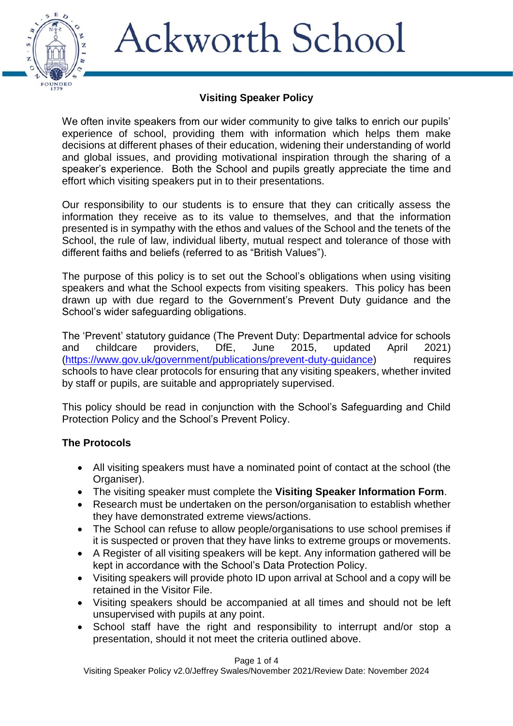

### **Visiting Speaker Policy**

We often invite speakers from our wider community to give talks to enrich our pupils' experience of school, providing them with information which helps them make decisions at different phases of their education, widening their understanding of world and global issues, and providing motivational inspiration through the sharing of a speaker's experience. Both the School and pupils greatly appreciate the time and effort which visiting speakers put in to their presentations.

Our responsibility to our students is to ensure that they can critically assess the information they receive as to its value to themselves, and that the information presented is in sympathy with the ethos and values of the School and the tenets of the School, the rule of law, individual liberty, mutual respect and tolerance of those with different faiths and beliefs (referred to as "British Values").

The purpose of this policy is to set out the School's obligations when using visiting speakers and what the School expects from visiting speakers. This policy has been drawn up with due regard to the Government's Prevent Duty guidance and the School's wider safeguarding obligations.

The 'Prevent' statutory guidance (The Prevent Duty: Departmental advice for schools and childcare providers, DfE, June 2015, updated April 2021) [\(https://www.gov.uk/government/publications/prevent-duty-guidance\)](https://www.gov.uk/government/publications/prevent-duty-guidance) requires schools to have clear protocols for ensuring that any visiting speakers, whether invited by staff or pupils, are suitable and appropriately supervised.

This policy should be read in conjunction with the School's Safeguarding and Child Protection Policy and the School's Prevent Policy.

#### **The Protocols**

- All visiting speakers must have a nominated point of contact at the school (the Organiser).
- The visiting speaker must complete the **Visiting Speaker Information Form**.
- Research must be undertaken on the person/organisation to establish whether they have demonstrated extreme views/actions.
- The School can refuse to allow people/organisations to use school premises if it is suspected or proven that they have links to extreme groups or movements.
- A Register of all visiting speakers will be kept. Any information gathered will be kept in accordance with the School's Data Protection Policy.
- Visiting speakers will provide photo ID upon arrival at School and a copy will be retained in the Visitor File.
- Visiting speakers should be accompanied at all times and should not be left unsupervised with pupils at any point.
- School staff have the right and responsibility to interrupt and/or stop a presentation, should it not meet the criteria outlined above.

Page 1 of 4

Visiting Speaker Policy v2.0/Jeffrey Swales/November 2021/Review Date: November 2024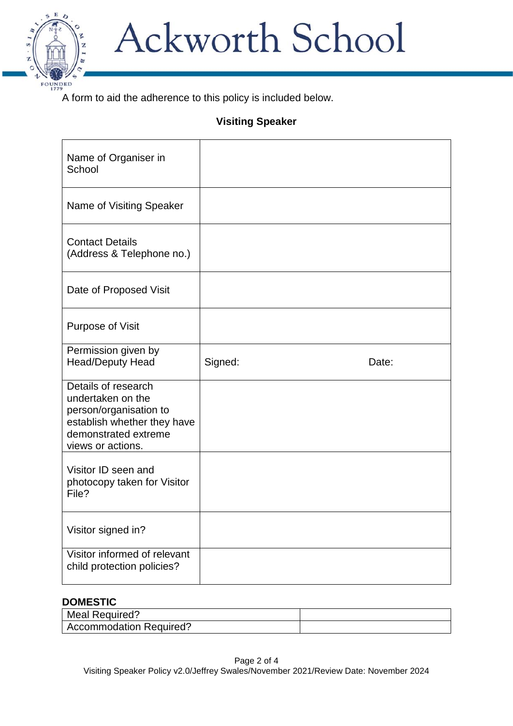

A form to aid the adherence to this policy is included below.

## **Visiting Speaker**

| Name of Organiser in<br>School                                                                                                                 |         |       |
|------------------------------------------------------------------------------------------------------------------------------------------------|---------|-------|
| Name of Visiting Speaker                                                                                                                       |         |       |
| <b>Contact Details</b><br>(Address & Telephone no.)                                                                                            |         |       |
| Date of Proposed Visit                                                                                                                         |         |       |
| <b>Purpose of Visit</b>                                                                                                                        |         |       |
| Permission given by<br><b>Head/Deputy Head</b>                                                                                                 | Signed: | Date: |
| Details of research<br>undertaken on the<br>person/organisation to<br>establish whether they have<br>demonstrated extreme<br>views or actions. |         |       |
| Visitor ID seen and<br>photocopy taken for Visitor<br>File?                                                                                    |         |       |
| Visitor signed in?                                                                                                                             |         |       |
| Visitor informed of relevant<br>child protection policies?                                                                                     |         |       |

#### **DOMESTIC**

| Meal Required?                 |  |
|--------------------------------|--|
| <b>Accommodation Required?</b> |  |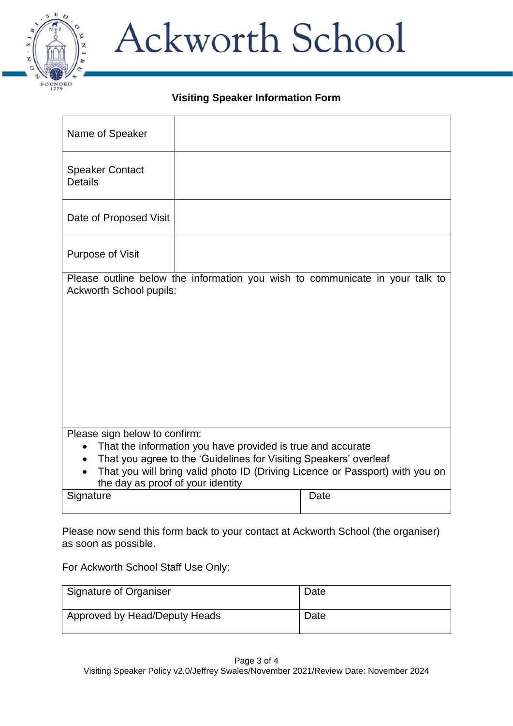

### **Visiting Speaker Information Form**

| Name of Speaker                                                                                                                                                                                                                                                                                                  |  |                                                                              |
|------------------------------------------------------------------------------------------------------------------------------------------------------------------------------------------------------------------------------------------------------------------------------------------------------------------|--|------------------------------------------------------------------------------|
| <b>Speaker Contact</b><br><b>Details</b>                                                                                                                                                                                                                                                                         |  |                                                                              |
| Date of Proposed Visit                                                                                                                                                                                                                                                                                           |  |                                                                              |
| Purpose of Visit                                                                                                                                                                                                                                                                                                 |  |                                                                              |
| <b>Ackworth School pupils:</b>                                                                                                                                                                                                                                                                                   |  | Please outline below the information you wish to communicate in your talk to |
| Please sign below to confirm:<br>That the information you have provided is true and accurate<br>$\bullet$<br>That you agree to the 'Guidelines for Visiting Speakers' overleaf<br>$\bullet$<br>That you will bring valid photo ID (Driving Licence or Passport) with you on<br>the day as proof of your identity |  |                                                                              |
| Signature                                                                                                                                                                                                                                                                                                        |  | Date                                                                         |

Please now send this form back to your contact at Ackworth School (the organiser) as soon as possible.

For Ackworth School Staff Use Only:

| Signature of Organiser        | Date |
|-------------------------------|------|
| Approved by Head/Deputy Heads | Date |